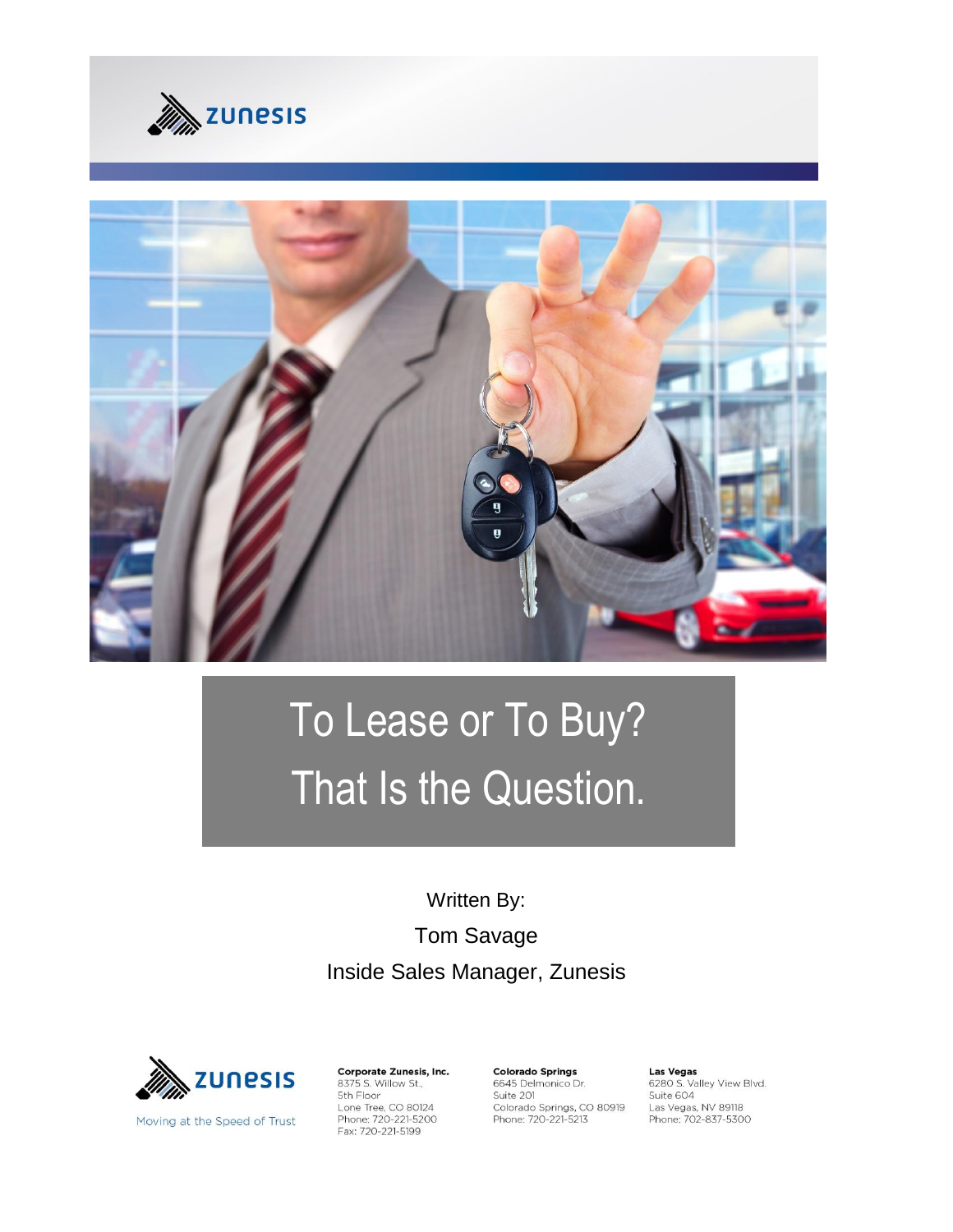



# To Lease or To Buy? That Is the Question.

Written By: Tom Savage Inside Sales Manager, Zunesis



Moving at the Speed of Trust

Corporate Zunesis, Inc. 8375 S. Willow St., 5th Floor Lone Tree, CO 80124<br>Phone: 720-221-5200<br>Fax: 720-221-5199

**Colorado Springs** 6645 Delmonico Dr. Suite 201 Suite 201<br>Colorado Springs, CO 80919<br>Phone: 720-221-5213 Las Vegas<br>6280 S. Valley View Blvd. Suite 604 Las Vegas, NV 89118 Phone: 702-837-5300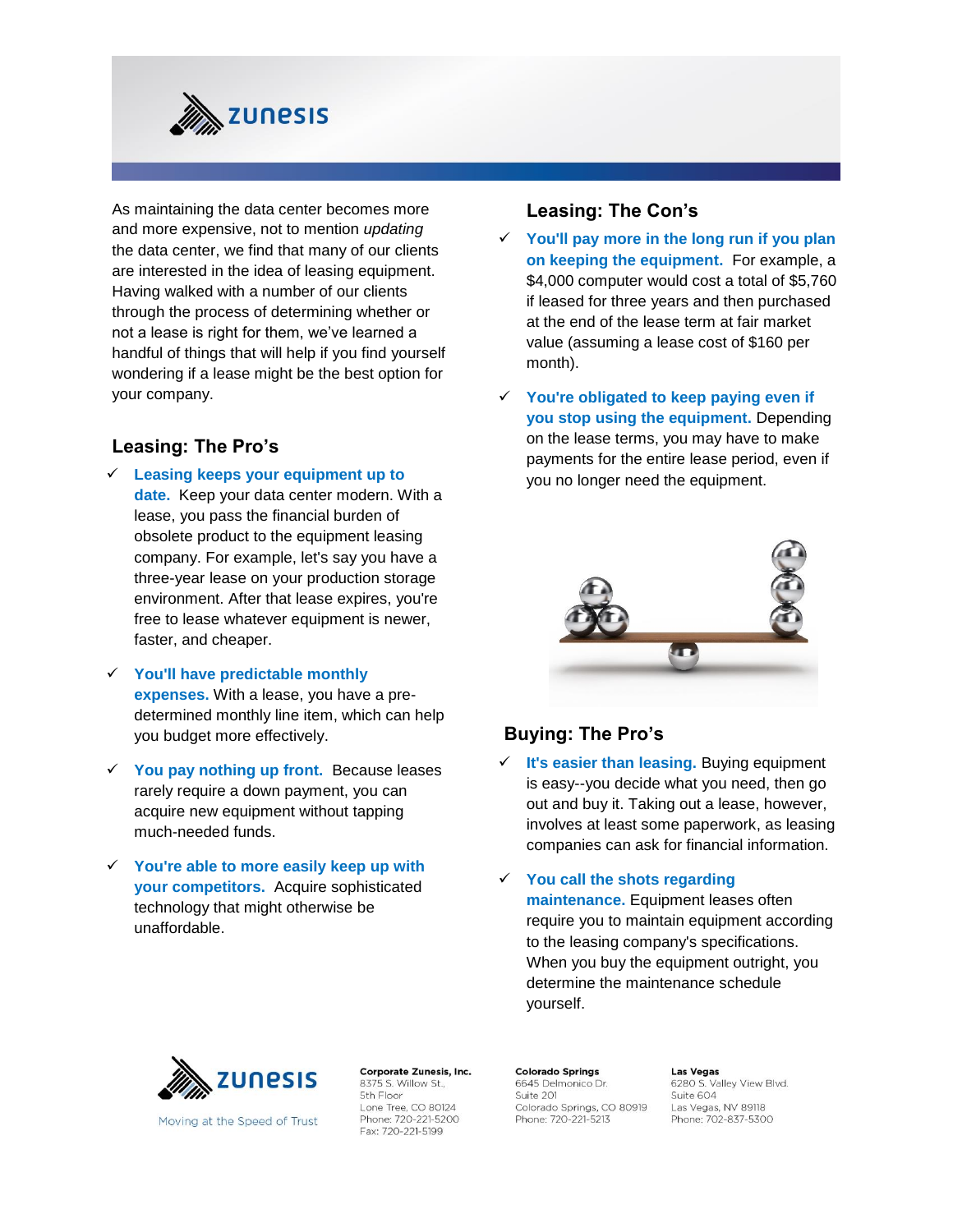

As maintaining the data center becomes more and more expensive, not to mention *updating* the data center, we find that many of our clients are interested in the idea of leasing equipment. Having walked with a number of our clients through the process of determining whether or not a lease is right for them, we've learned a handful of things that will help if you find yourself wondering if a lease might be the best option for your company.

### **Leasing: The Pro's**

- **Leasing keeps your equipment up to date.** Keep your data center modern. With a lease, you pass the financial burden of obsolete product to the equipment leasing company. For example, let's say you have a three-year lease on your production storage environment. After that lease expires, you're free to lease whatever equipment is newer, faster, and cheaper.
- **You'll have predictable monthly expenses.** With a lease, you have a predetermined monthly line item, which can help you budget more effectively.
- **You pay nothing up front.** Because leases rarely require a down payment, you can acquire new equipment without tapping much-needed funds.
- **You're able to more easily keep up with your competitors.** Acquire sophisticated technology that might otherwise be unaffordable.

#### **Leasing: The Con's**

- **You'll pay more in the long run if you plan on keeping the equipment.** For example, a \$4,000 computer would cost a total of \$5,760 if leased for three years and then purchased at the end of the lease term at fair market value (assuming a lease cost of \$160 per month).
- **You're obligated to keep paying even if you stop using the equipment.** Depending on the lease terms, you may have to make payments for the entire lease period, even if you no longer need the equipment.



#### **Buying: The Pro's**

 **It's easier than leasing.** Buying equipment is easy--you decide what you need, then go out and buy it. Taking out a lease, however, involves at least some paperwork, as leasing companies can ask for financial information.

 **You call the shots regarding maintenance.** Equipment leases often require you to maintain equipment according to the leasing company's specifications. When you buy the equipment outright, you determine the maintenance schedule yourself.



8375 S. Willow St., 5th Floor Lone Tree, CO 80124 Phone: 720-221-5200 Fax: 720-221-5199

Corporate Zunesis, Inc.

**Colorado Springs** 6645 Delmonico Dr. Suite 201 Colorado Springs, CO 80919 Phone: 720-221-5213

**Las Vegas** 6280 S. Valley View Blvd. Suite 604 Las Vegas, NV 89118 Phone: 702-837-5300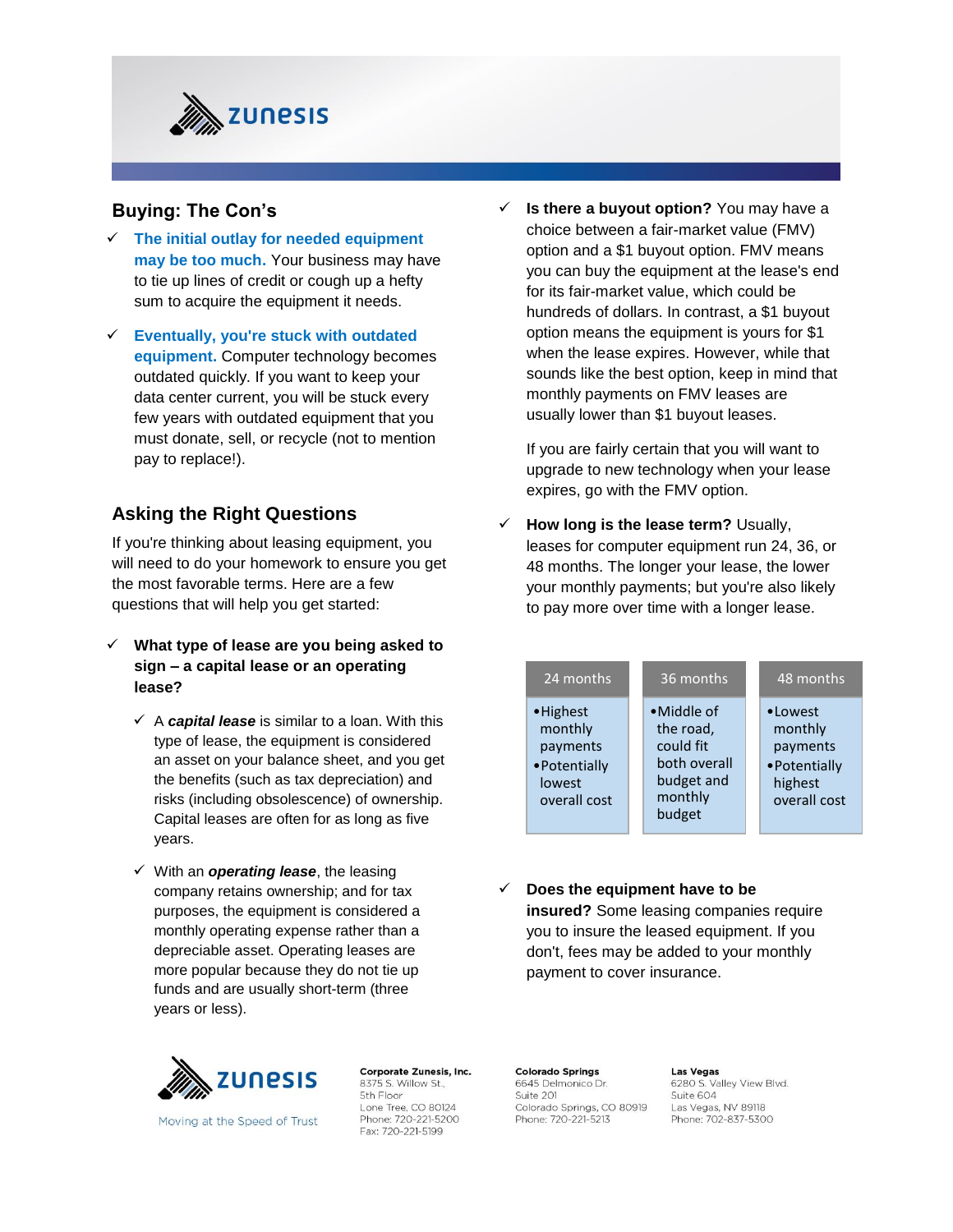

## **Buying: The Con's**

- **The initial outlay for needed equipment may be too much.** Your business may have to tie up lines of credit or cough up a hefty sum to acquire the equipment it needs.
- **Eventually, you're stuck with outdated equipment.** Computer technology becomes outdated quickly. If you want to keep your data center current, you will be stuck every few years with outdated equipment that you must donate, sell, or recycle (not to mention pay to replace!).

# **Asking the Right Questions**

If you're thinking about leasing equipment, you will need to do your homework to ensure you get the most favorable terms. Here are a few questions that will help you get started:

- **What type of lease are you being asked to sign – a capital lease or an operating lease?**
	- $\checkmark$  A **capital lease** is similar to a loan. With this type of lease, the equipment is considered an asset on your balance sheet, and you get the benefits (such as tax depreciation) and risks (including obsolescence) of ownership. Capital leases are often for as long as five years.
	- With an *operating lease*, the leasing company retains ownership; and for tax purposes, the equipment is considered a monthly operating expense rather than a depreciable asset. Operating leases are more popular because they do not tie up funds and are usually short-term (three years or less).



Moving at the Speed of Trust

Corporate Zunesis, Inc. 8375 S. Willow St., 5th Floor Lone Tree, CO 80124 Phone: 720-221-5200 Fax: 720-221-5199

 **Is there a buyout option?** You may have a choice between a fair-market value (FMV) option and a \$1 buyout option. FMV means you can buy the equipment at the lease's end for its fair-market value, which could be hundreds of dollars. In contrast, a \$1 buyout option means the equipment is yours for \$1 when the lease expires. However, while that sounds like the best option, keep in mind that monthly payments on FMV leases are usually lower than \$1 buyout leases.

If you are fairly certain that you will want to upgrade to new technology when your lease expires, go with the FMV option.

 **How long is the lease term?** Usually, leases for computer equipment run 24, 36, or 48 months. The longer your lease, the lower your monthly payments; but you're also likely to pay more over time with a longer lease.

| 24 months                                                                   | 36 months                                                                               | 48 months                                                                   |
|-----------------------------------------------------------------------------|-----------------------------------------------------------------------------------------|-----------------------------------------------------------------------------|
| • Highest<br>monthly<br>payments<br>• Potentially<br>lowest<br>overall cost | •Middle of<br>the road,<br>could fit<br>both overall<br>budget and<br>monthly<br>budget | • Lowest<br>monthly<br>payments<br>• Potentially<br>highest<br>overall cost |

 $\checkmark$  Does the equipment have to be **insured?** Some leasing companies require you to insure the leased equipment. If you don't, fees may be added to your monthly payment to cover insurance.

**Colorado Springs** 6645 Delmonico Dr. Suite 201 Colorado Springs, CO 80919 Phone: 720-221-5213

**Las Vegas** 6280 S. Valley View Blvd. Suite 604 Las Vegas, NV 89118 Phone: 702-837-5300